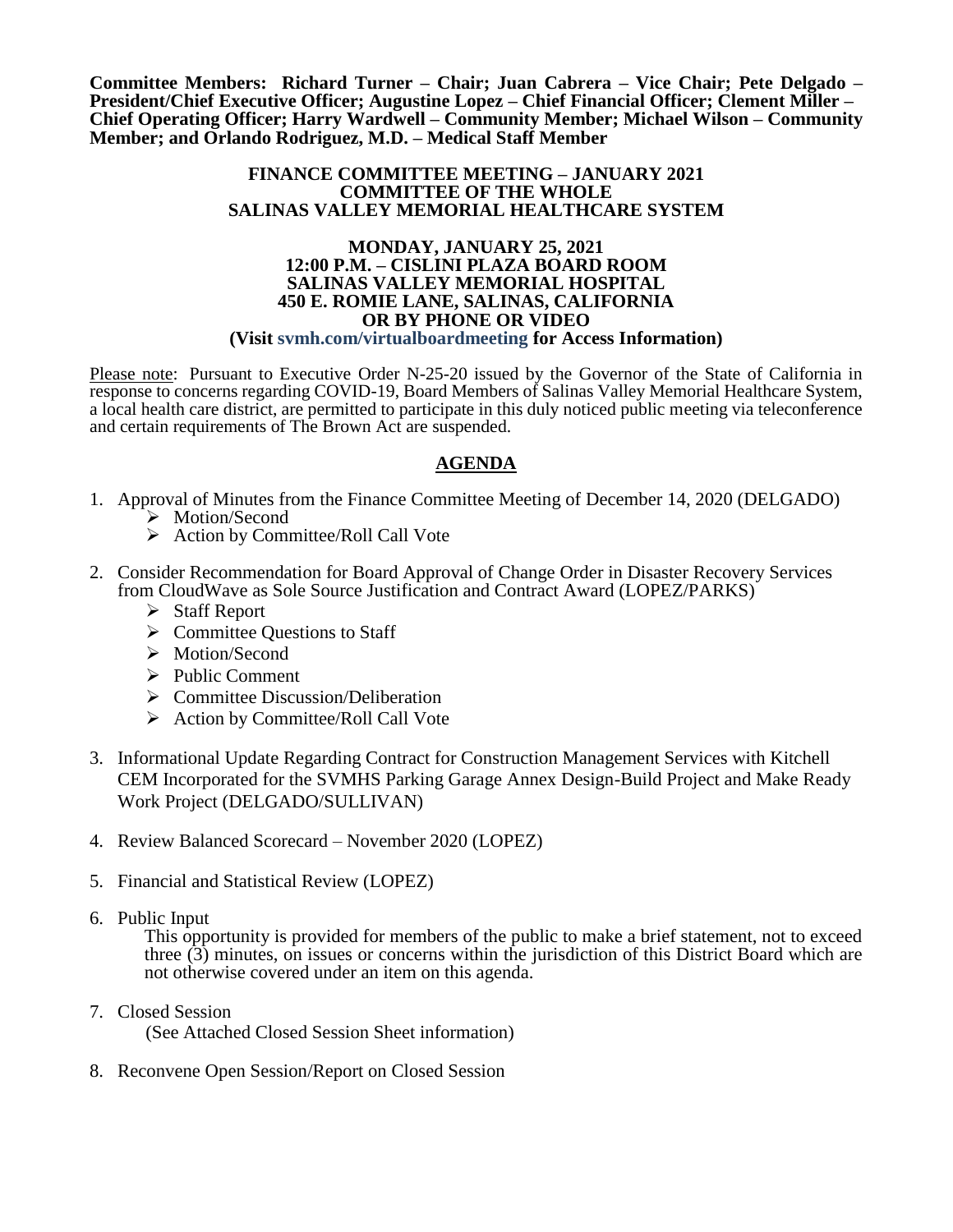**Committee Members: Richard Turner – Chair; Juan Cabrera – Vice Chair; Pete Delgado – President/Chief Executive Officer; Augustine Lopez – Chief Financial Officer; Clement Miller – Chief Operating Officer; Harry Wardwell – Community Member; Michael Wilson – Community Member; and Orlando Rodriguez, M.D. – Medical Staff Member**

### **FINANCE COMMITTEE MEETING – JANUARY 2021 COMMITTEE OF THE WHOLE SALINAS VALLEY MEMORIAL HEALTHCARE SYSTEM**

#### **MONDAY, JANUARY 25, 2021 12:00 P.M. – CISLINI PLAZA BOARD ROOM SALINAS VALLEY MEMORIAL HOSPITAL 450 E. ROMIE LANE, SALINAS, CALIFORNIA OR BY PHONE OR VIDEO (Visit svmh.com/virtualboardmeeting for Access Information)**

Please note: Pursuant to Executive Order N-25-20 issued by the Governor of the State of California in response to concerns regarding COVID-19, Board Members of Salinas Valley Memorial Healthcare System, a local health care district, are permitted to participate in this duly noticed public meeting via teleconference and certain requirements of The Brown Act are suspended.

## **AGENDA**

- 1. Approval of Minutes from the Finance Committee Meeting of December 14, 2020 (DELGADO) > Motion/Second
	- $\triangleright$  Action by Committee/Roll Call Vote
- 2. Consider Recommendation for Board Approval of Change Order in Disaster Recovery Services from CloudWave as Sole Source Justification and Contract Award (LOPEZ/PARKS)
	- Staff Report
	- $\triangleright$  Committee Questions to Staff
	- > Motion/Second
	- $\triangleright$  Public Comment
	- $\triangleright$  Committee Discussion/Deliberation
	- $\triangleright$  Action by Committee/Roll Call Vote
- 3. Informational Update Regarding Contract for Construction Management Services with Kitchell CEM Incorporated for the SVMHS Parking Garage Annex Design-Build Project and Make Ready Work Project (DELGADO/SULLIVAN)
- 4. Review Balanced Scorecard November 2020 (LOPEZ)
- 5. Financial and Statistical Review (LOPEZ)
- 6. Public Input

This opportunity is provided for members of the public to make a brief statement, not to exceed three (3) minutes, on issues or concerns within the jurisdiction of this District Board which are not otherwise covered under an item on this agenda.

7. Closed Session

(See Attached Closed Session Sheet information)

8. Reconvene Open Session/Report on Closed Session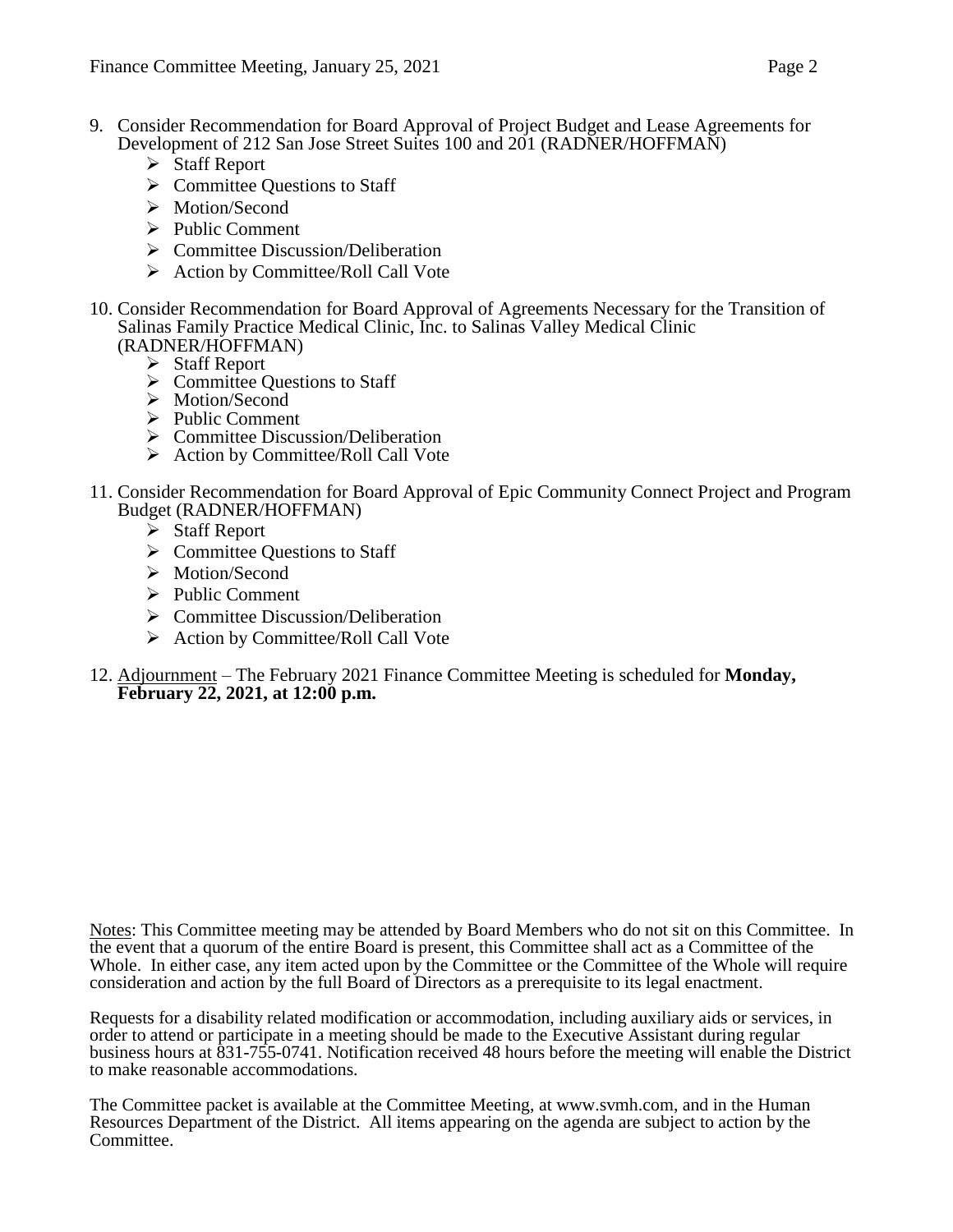- 9. Consider Recommendation for Board Approval of Project Budget and Lease Agreements for Development of 212 San Jose Street Suites 100 and 201 (RADNER/HOFFMAN)
	- Staff Report
	- $\triangleright$  Committee Questions to Staff
	- > Motion/Second
	- $\triangleright$  Public Comment
	- $\triangleright$  Committee Discussion/Deliberation
	- $\triangleright$  Action by Committee/Roll Call Vote
- 10. Consider Recommendation for Board Approval of Agreements Necessary for the Transition of Salinas Family Practice Medical Clinic, Inc. to Salinas Valley Medical Clinic (RADNER/HOFFMAN)
	- Staff Report
	- $\triangleright$  Committee Questions to Staff
	- > Motion/Second
	- $\triangleright$  Public Comment
	- $\triangleright$  Committee Discussion/Deliberation
	- Action by Committee/Roll Call Vote
- 11. Consider Recommendation for Board Approval of Epic Community Connect Project and Program Budget (RADNER/HOFFMAN)
	- $\triangleright$  Staff Report
	- $\triangleright$  Committee Ouestions to Staff
	- > Motion/Second
	- $\triangleright$  Public Comment
	- $\triangleright$  Committee Discussion/Deliberation
	- $\triangleright$  Action by Committee/Roll Call Vote
- 12. Adjournment The February 2021 Finance Committee Meeting is scheduled for **Monday, February 22, 2021, at 12:00 p.m.**

Notes: This Committee meeting may be attended by Board Members who do not sit on this Committee. In the event that a quorum of the entire Board is present, this Committee shall act as a Committee of the Whole. In either case, any item acted upon by the Committee or the Committee of the Whole will require consideration and action by the full Board of Directors as a prerequisite to its legal enactment.

Requests for a disability related modification or accommodation, including auxiliary aids or services, in order to attend or participate in a meeting should be made to the Executive Assistant during regular business hours at 831-755-0741. Notification received 48 hours before the meeting will enable the District to make reasonable accommodations.

The Committee packet is available at the Committee Meeting, at www.svmh.com, and in the Human Resources Department of the District. All items appearing on the agenda are subject to action by the Committee.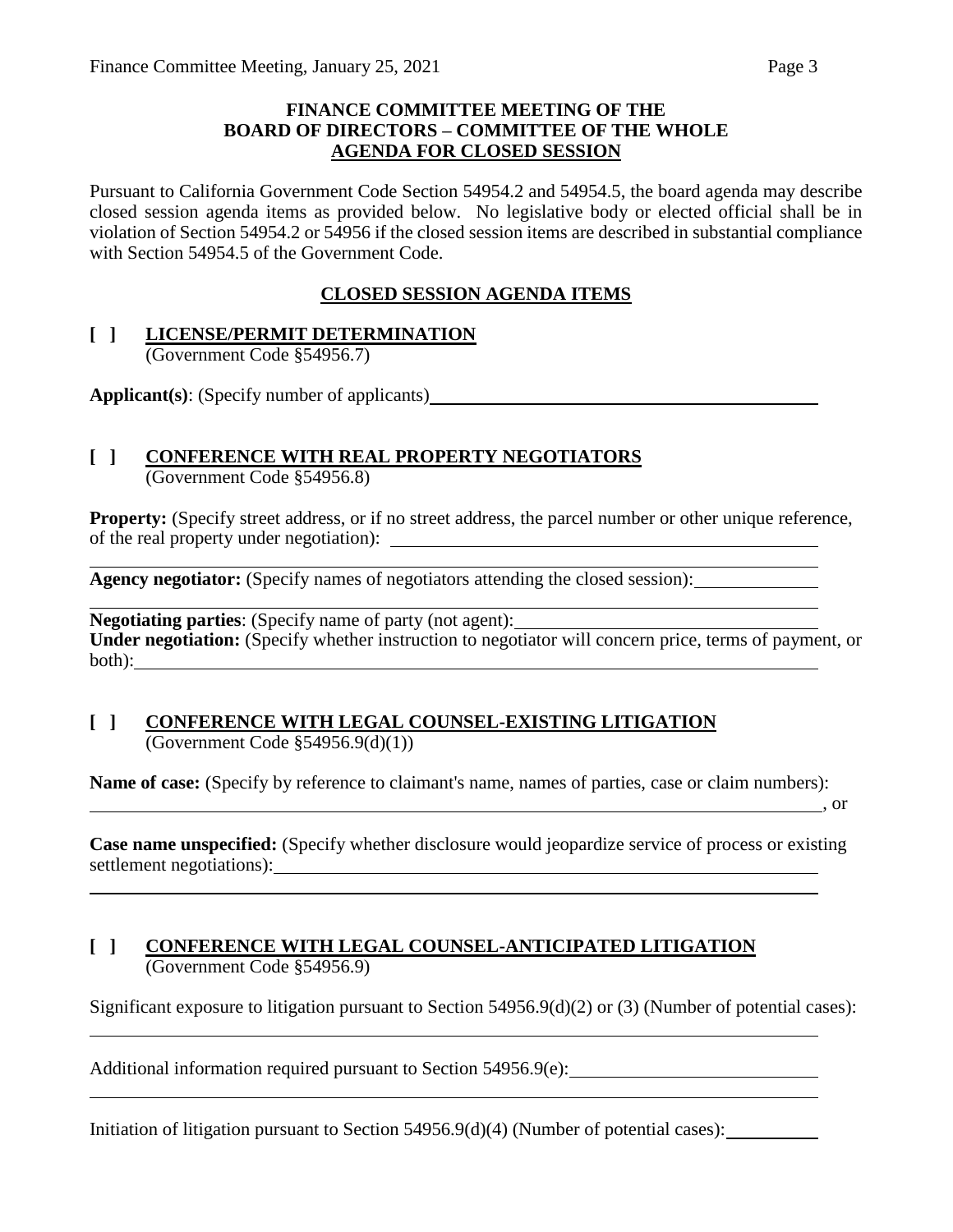### **FINANCE COMMITTEE MEETING OF THE BOARD OF DIRECTORS – COMMITTEE OF THE WHOLE AGENDA FOR CLOSED SESSION**

Pursuant to California Government Code Section 54954.2 and 54954.5, the board agenda may describe closed session agenda items as provided below. No legislative body or elected official shall be in violation of Section 54954.2 or 54956 if the closed session items are described in substantial compliance with Section 54954.5 of the Government Code.

## **CLOSED SESSION AGENDA ITEMS**

### **[ ] LICENSE/PERMIT DETERMINATION** (Government Code §54956.7)

**Applicant(s)**: (Specify number of applicants)

## **[ ] CONFERENCE WITH REAL PROPERTY NEGOTIATORS**

(Government Code §54956.8)

**Property:** (Specify street address, or if no street address, the parcel number or other unique reference, of the real property under negotiation):

**Agency negotiator:** (Specify names of negotiators attending the closed session):

**Negotiating parties**: (Specify name of party (not agent): **Under negotiation:** (Specify whether instruction to negotiator will concern price, terms of payment, or both):

### **[ ] CONFERENCE WITH LEGAL COUNSEL-EXISTING LITIGATION** (Government Code  $$54956.9(d)(1))$ )

**Name of case:** (Specify by reference to claimant's name, names of parties, case or claim numbers):

, or

**Case name unspecified:** (Specify whether disclosure would jeopardize service of process or existing settlement negotiations):

### **[ ] CONFERENCE WITH LEGAL COUNSEL-ANTICIPATED LITIGATION** (Government Code §54956.9)

Significant exposure to litigation pursuant to Section 54956.9(d)(2) or (3) (Number of potential cases):

Additional information required pursuant to Section 54956.9(e):

Initiation of litigation pursuant to Section 54956.9(d)(4) (Number of potential cases):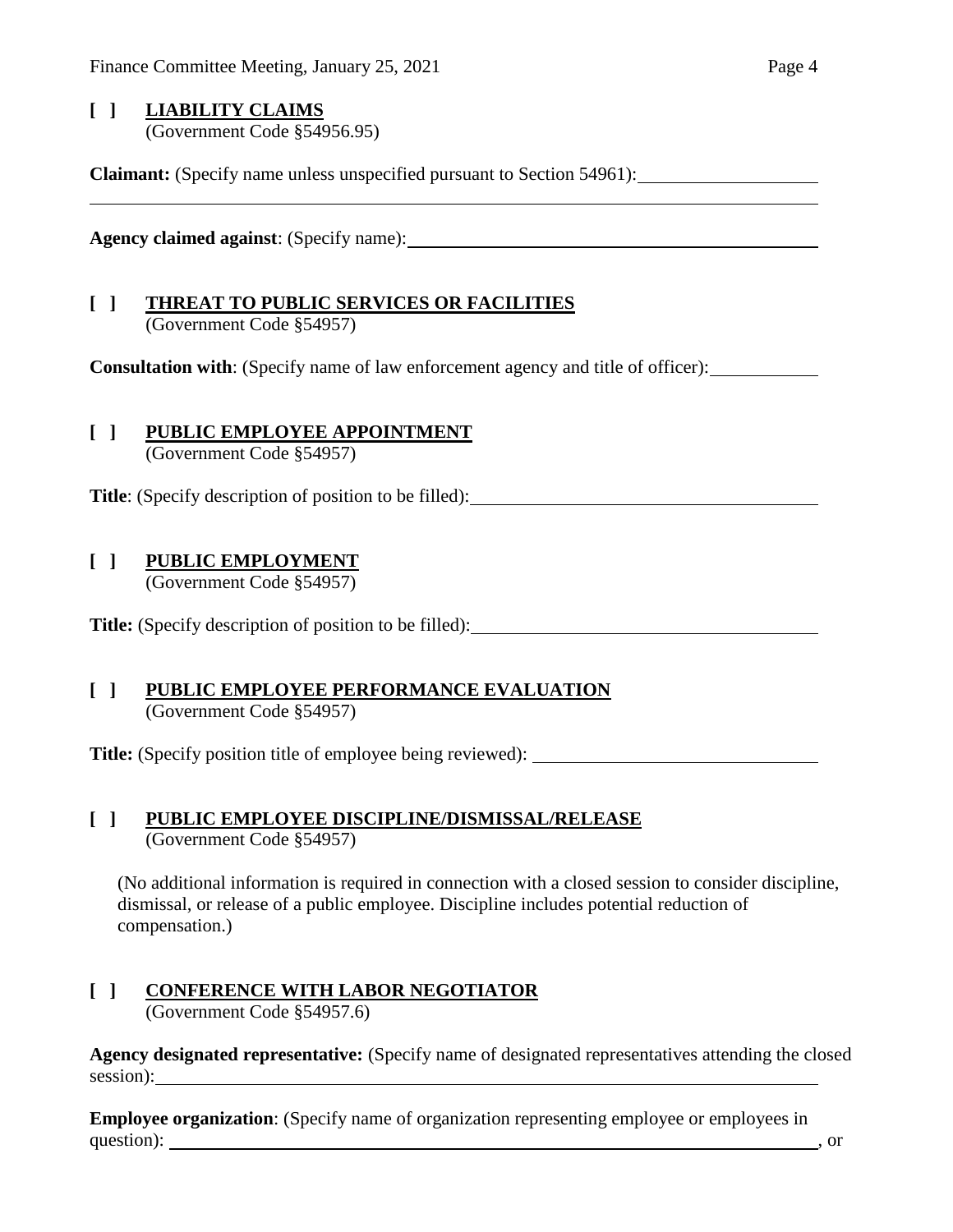## **[ ] LIABILITY CLAIMS** (Government Code §54956.95)

**Claimant:** (Specify name unless unspecified pursuant to Section 54961):

**Agency claimed against**: (Specify name):

# **[ ] THREAT TO PUBLIC SERVICES OR FACILITIES**

(Government Code §54957)

**Consultation with**: (Specify name of law enforcement agency and title of officer):

## **[ ] PUBLIC EMPLOYEE APPOINTMENT**

(Government Code §54957)

**Title**: (Specify description of position to be filled):

## **[ ] PUBLIC EMPLOYMENT**

(Government Code §54957)

**Title:** (Specify description of position to be filled):

### **[ ] PUBLIC EMPLOYEE PERFORMANCE EVALUATION** (Government Code §54957)

**Title:** (Specify position title of employee being reviewed):

### **[ ] PUBLIC EMPLOYEE DISCIPLINE/DISMISSAL/RELEASE** (Government Code §54957)

(No additional information is required in connection with a closed session to consider discipline, dismissal, or release of a public employee. Discipline includes potential reduction of compensation.)

### **[ ] CONFERENCE WITH LABOR NEGOTIATOR** (Government Code §54957.6)

**Agency designated representative:** (Specify name of designated representatives attending the closed session):

**Employee organization**: (Specify name of organization representing employee or employees in question): such a set of the set of the set of the set of the set of the set of the set of the set of the set of the set of the set of the set of the set of the set of the set of the set of the set of the set of the set of